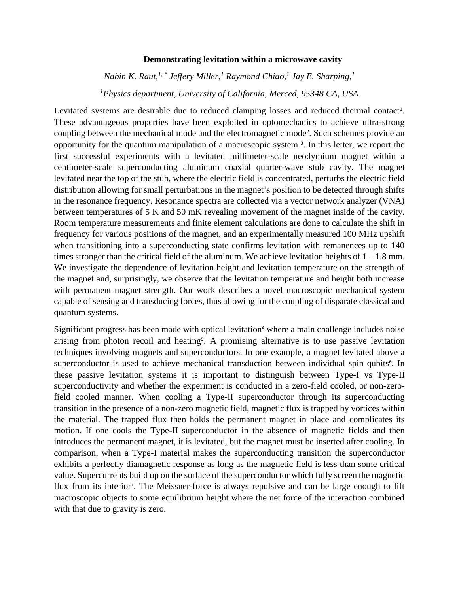## **Demonstrating levitation within a microwave cavity**

*Nabin K. Raut,1, \* Jeffery Miller,<sup>1</sup> Raymond Chiao,<sup>1</sup> Jay E. Sharping, 1 <sup>1</sup>Physics department, University of California, Merced, 95348 CA, USA* 

Levitated systems are desirable due to reduced clamping losses and reduced thermal contact<sup>1</sup>. These advantageous properties have been exploited in optomechanics to achieve ultra-strong coupling between the mechanical mode and the electromagnetic mode<sup>2</sup>. Such schemes provide an opportunity for the quantum manipulation of a macroscopic system <sup>3</sup> . In this letter, we report the first successful experiments with a levitated millimeter-scale neodymium magnet within a centimeter-scale superconducting aluminum coaxial quarter-wave stub cavity. The magnet levitated near the top of the stub, where the electric field is concentrated, perturbs the electric field distribution allowing for small perturbations in the magnet's position to be detected through shifts in the resonance frequency. Resonance spectra are collected via a vector network analyzer (VNA) between temperatures of 5 K and 50 mK revealing movement of the magnet inside of the cavity. Room temperature measurements and finite element calculations are done to calculate the shift in frequency for various positions of the magnet, and an experimentally measured 100 MHz upshift when transitioning into a superconducting state confirms levitation with remanences up to 140 times stronger than the critical field of the aluminum. We achieve levitation heights of  $1 - 1.8$  mm. We investigate the dependence of levitation height and levitation temperature on the strength of the magnet and, surprisingly, we observe that the levitation temperature and height both increase with permanent magnet strength. Our work describes a novel macroscopic mechanical system capable of sensing and transducing forces, thus allowing for the coupling of disparate classical and quantum systems.

Significant progress has been made with optical levitation<sup>4</sup> where a main challenge includes noise arising from photon recoil and heating<sup>5</sup>. A promising alternative is to use passive levitation techniques involving magnets and superconductors. In one example, a magnet levitated above a superconductor is used to achieve mechanical transduction between individual spin qubits<sup>6</sup>. In these passive levitation systems it is important to distinguish between Type-I vs Type-II superconductivity and whether the experiment is conducted in a zero-field cooled, or non-zerofield cooled manner. When cooling a Type-II superconductor through its superconducting transition in the presence of a non-zero magnetic field, magnetic flux is trapped by vortices within the material. The trapped flux then holds the permanent magnet in place and complicates its motion. If one cools the Type-II superconductor in the absence of magnetic fields and then introduces the permanent magnet, it is levitated, but the magnet must be inserted after cooling. In comparison, when a Type-I material makes the superconducting transition the superconductor exhibits a perfectly diamagnetic response as long as the magnetic field is less than some critical value. Supercurrents build up on the surface of the superconductor which fully screen the magnetic flux from its interior<sup>7</sup>. The Meissner-force is always repulsive and can be large enough to lift macroscopic objects to some equilibrium height where the net force of the interaction combined with that due to gravity is zero.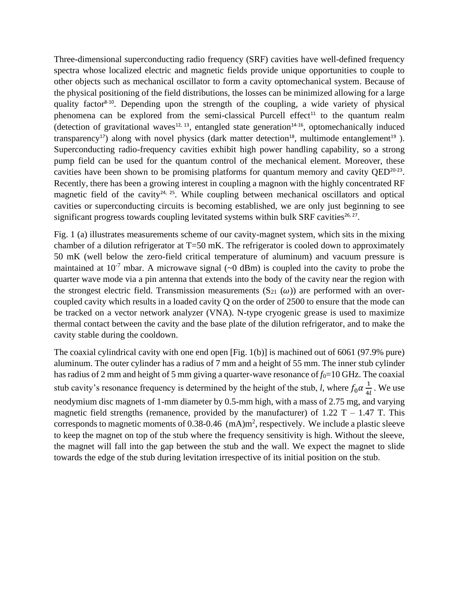Three-dimensional superconducting radio frequency (SRF) cavities have well-defined frequency spectra whose localized electric and magnetic fields provide unique opportunities to couple to other objects such as mechanical oscillator to form a cavity optomechanical system. Because of the physical positioning of the field distributions, the losses can be minimized allowing for a large quality factor<sup>8-10</sup>. Depending upon the strength of the coupling, a wide variety of physical phenomena can be explored from the semi-classical Purcell effect<sup>11</sup> to the quantum realm (detection of gravitational waves $12, 13$ , entangled state generation $14-16$ , optomechanically induced transparency<sup>17</sup>) along with novel physics (dark matter detection<sup>18</sup>, multimode entanglement<sup>19</sup>). Superconducting radio-frequency cavities exhibit high power handling capability, so a strong pump field can be used for the quantum control of the mechanical element. Moreover, these cavities have been shown to be promising platforms for quantum memory and cavity QED<sup>20-23</sup>. Recently, there has been a growing interest in coupling a magnon with the highly concentrated RF magnetic field of the cavity<sup>24, 25</sup>. While coupling between mechanical oscillators and optical cavities or superconducting circuits is becoming established, we are only just beginning to see significant progress towards coupling levitated systems within bulk SRF cavities $26, 27$ .

Fig. 1 (a) illustrates measurements scheme of our cavity-magnet system, which sits in the mixing chamber of a dilution refrigerator at T=50 mK. The refrigerator is cooled down to approximately 50 mK (well below the zero-field critical temperature of aluminum) and vacuum pressure is maintained at  $10^{-7}$  mbar. A microwave signal (~0 dBm) is coupled into the cavity to probe the quarter wave mode via a pin antenna that extends into the body of the cavity near the region with the strongest electric field. Transmission measurements  $(S_{21} (\omega))$  are performed with an overcoupled cavity which results in a loaded cavity Q on the order of 2500 to ensure that the mode can be tracked on a vector network analyzer (VNA). N-type cryogenic grease is used to maximize thermal contact between the cavity and the base plate of the dilution refrigerator, and to make the cavity stable during the cooldown.

The coaxial cylindrical cavity with one end open [Fig. 1(b)] is machined out of 6061 (97.9% pure) aluminum. The outer cylinder has a radius of 7 mm and a height of 55 mm. The inner stub cylinder has radius of 2 mm and height of 5 mm giving a quarter-wave resonance of  $f_0=10$  GHz. The coaxial stub cavity's resonance frequency is determined by the height of the stub, *l*, where  $f_0 \alpha \frac{1}{\lambda}$  $\frac{1}{4l}$ . We use neodymium disc magnets of 1-mm diameter by 0.5-mm high, with a mass of 2.75 mg, and varying magnetic field strengths (remanence, provided by the manufacturer) of  $1.22$  T –  $1.47$  T. This corresponds to magnetic moments of 0.38-0.46  $(mA)m^2$ , respectively. We include a plastic sleeve to keep the magnet on top of the stub where the frequency sensitivity is high. Without the sleeve, the magnet will fall into the gap between the stub and the wall. We expect the magnet to slide towards the edge of the stub during levitation irrespective of its initial position on the stub.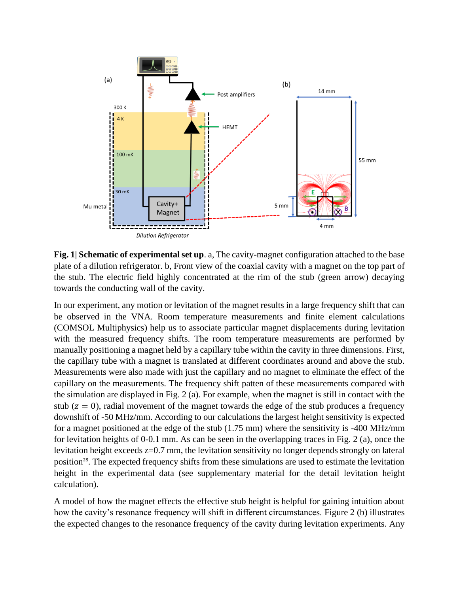

**Fig. 1| Schematic of experimental set up**. a, The cavity-magnet configuration attached to the base plate of a dilution refrigerator. b, Front view of the coaxial cavity with a magnet on the top part of the stub. The electric field highly concentrated at the rim of the stub (green arrow) decaying towards the conducting wall of the cavity.

In our experiment, any motion or levitation of the magnet results in a large frequency shift that can be observed in the VNA. Room temperature measurements and finite element calculations (COMSOL Multiphysics) help us to associate particular magnet displacements during levitation with the measured frequency shifts. The room temperature measurements are performed by manually positioning a magnet held by a capillary tube within the cavity in three dimensions. First, the capillary tube with a magnet is translated at different coordinates around and above the stub. Measurements were also made with just the capillary and no magnet to eliminate the effect of the capillary on the measurements. The frequency shift patten of these measurements compared with the simulation are displayed in Fig. 2 (a). For example, when the magnet is still in contact with the stub ( $z = 0$ ), radial movement of the magnet towards the edge of the stub produces a frequency downshift of -50 MHz/mm. According to our calculations the largest height sensitivity is expected for a magnet positioned at the edge of the stub (1.75 mm) where the sensitivity is -400 MHz/mm for levitation heights of 0-0.1 mm. As can be seen in the overlapping traces in Fig. 2 (a), once the levitation height exceeds z=0.7 mm, the levitation sensitivity no longer depends strongly on lateral position<sup>28</sup>. The expected frequency shifts from these simulations are used to estimate the levitation height in the experimental data (see supplementary material for the detail levitation height calculation).

A model of how the magnet effects the effective stub height is helpful for gaining intuition about how the cavity's resonance frequency will shift in different circumstances. Figure 2 (b) illustrates the expected changes to the resonance frequency of the cavity during levitation experiments. Any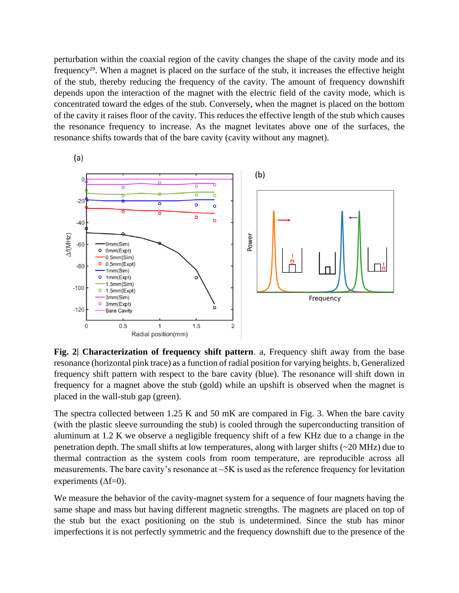perturbation within the coaxial region of the cavity changes the shape of the cavity mode and its frequency29. When a magnet is placed on the surface of the stub, it increases the effective height of the stub, thereby reducing the frequency of the cavity. The amount of frequency downshift depends upon the interaction of the magnet with the electric field of the cavity mode, which is concentrated toward the edges of the stub. Conversely, when the magnet is placed on the bottom of the cavity it raises floor of the cavity. This reduces the effective length of the stub which causes the resonance frequency to increase. As the magnet levitates above one of the surfaces, the resonance shifts towards that of the bare cavity (cavity without any magnet).



**Fig. 2| Characterization of frequency shift pattern**. a, Frequency shift away from the base resonance (horizontal pink trace) as a function of radial position for varying heights. b, Generalized frequency shift pattern with respect to the bare cavity (blue). The resonance will shift down in frequency for a magnet above the stub (gold) while an upshift is observed when the magnet is placed in the wall-stub gap (green).

The spectra collected between 1.25 K and 50 mK are compared in Fig. 3. When the bare cavity (with the plastic sleeve surrounding the stub) is cooled through the superconducting transition of aluminum at 1.2 K we observe a negligible frequency shift of a few KHz due to a change in the penetration depth. The small shifts at low temperatures, along with larger shifts (~20 MHz) due to thermal contraction as the system cools from room temperature, are reproducible across all measurements. The bare cavity's resonance at  $\sim 5K$  is used as the reference frequency for levitation experiments  $(\Delta f=0)$ .

We measure the behavior of the cavity-magnet system for a sequence of four magnets having the same shape and mass but having different magnetic strengths. The magnets are placed on top of the stub but the exact positioning on the stub is undetermined. Since the stub has minor imperfections it is not perfectly symmetric and the frequency downshift due to the presence of the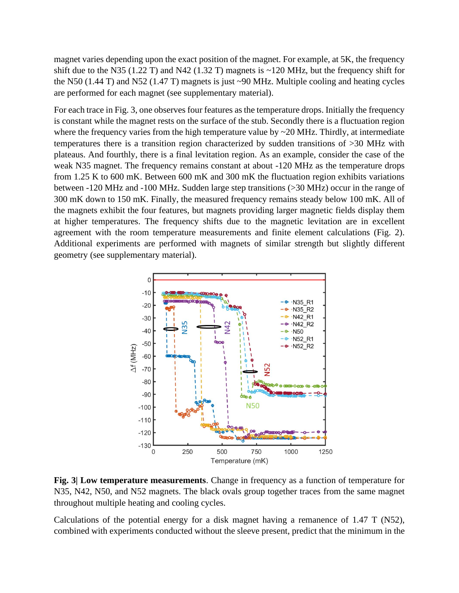magnet varies depending upon the exact position of the magnet. For example, at 5K, the frequency shift due to the N35 (1.22 T) and N42 (1.32 T) magnets is  $\sim$ 120 MHz, but the frequency shift for the N50 (1.44 T) and N52 (1.47 T) magnets is just ~90 MHz. Multiple cooling and heating cycles are performed for each magnet (see supplementary material).

For each trace in Fig. 3, one observes four features as the temperature drops. Initially the frequency is constant while the magnet rests on the surface of the stub. Secondly there is a fluctuation region where the frequency varies from the high temperature value by ~20 MHz. Thirdly, at intermediate temperatures there is a transition region characterized by sudden transitions of >30 MHz with plateaus. And fourthly, there is a final levitation region. As an example, consider the case of the weak N35 magnet. The frequency remains constant at about -120 MHz as the temperature drops from 1.25 K to 600 mK. Between 600 mK and 300 mK the fluctuation region exhibits variations between -120 MHz and -100 MHz. Sudden large step transitions (>30 MHz) occur in the range of 300 mK down to 150 mK. Finally, the measured frequency remains steady below 100 mK. All of the magnets exhibit the four features, but magnets providing larger magnetic fields display them at higher temperatures. The frequency shifts due to the magnetic levitation are in excellent agreement with the room temperature measurements and finite element calculations (Fig. 2). Additional experiments are performed with magnets of similar strength but slightly different geometry (see supplementary material).



**Fig. 3| Low temperature measurements**. Change in frequency as a function of temperature for N35, N42, N50, and N52 magnets. The black ovals group together traces from the same magnet throughout multiple heating and cooling cycles.

Calculations of the potential energy for a disk magnet having a remanence of 1.47 T (N52), combined with experiments conducted without the sleeve present, predict that the minimum in the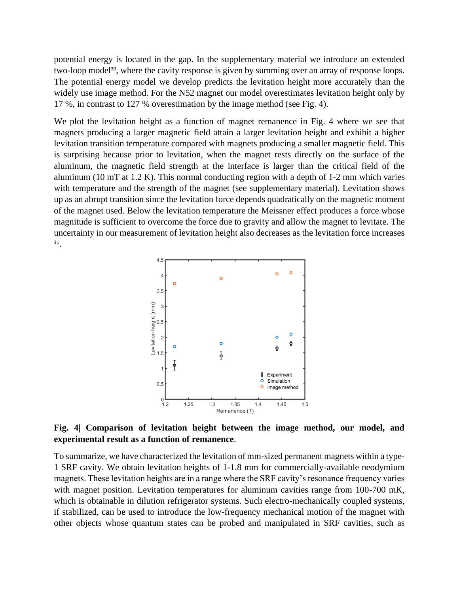potential energy is located in the gap. In the supplementary material we introduce an extended two-loop model<sup>30</sup>, where the cavity response is given by summing over an array of response loops. The potential energy model we develop predicts the levitation height more accurately than the widely use image method. For the N52 magnet our model overestimates levitation height only by 17 %, in contrast to 127 % overestimation by the image method (see Fig. 4).

We plot the levitation height as a function of magnet remanence in Fig. 4 where we see that magnets producing a larger magnetic field attain a larger levitation height and exhibit a higher levitation transition temperature compared with magnets producing a smaller magnetic field. This is surprising because prior to levitation, when the magnet rests directly on the surface of the aluminum, the magnetic field strength at the interface is larger than the critical field of the aluminum (10 mT at 1.2 K). This normal conducting region with a depth of 1-2 mm which varies with temperature and the strength of the magnet (see supplementary material). Levitation shows up as an abrupt transition since the levitation force depends quadratically on the magnetic moment of the magnet used. Below the levitation temperature the Meissner effect produces a force whose magnitude is sufficient to overcome the force due to gravity and allow the magnet to levitate. The uncertainty in our measurement of levitation height also decreases as the levitation force increases 31 .



**Fig. 4| Comparison of levitation height between the image method, our model, and experimental result as a function of remanence**.

To summarize, we have characterized the levitation of mm-sized permanent magnets within a type-1 SRF cavity. We obtain levitation heights of 1-1.8 mm for commercially-available neodymium magnets. These levitation heights are in a range where the SRF cavity's resonance frequency varies with magnet position. Levitation temperatures for aluminum cavities range from 100-700 mK, which is obtainable in dilution refrigerator systems. Such electro-mechanically coupled systems, if stabilized, can be used to introduce the low-frequency mechanical motion of the magnet with other objects whose quantum states can be probed and manipulated in SRF cavities, such as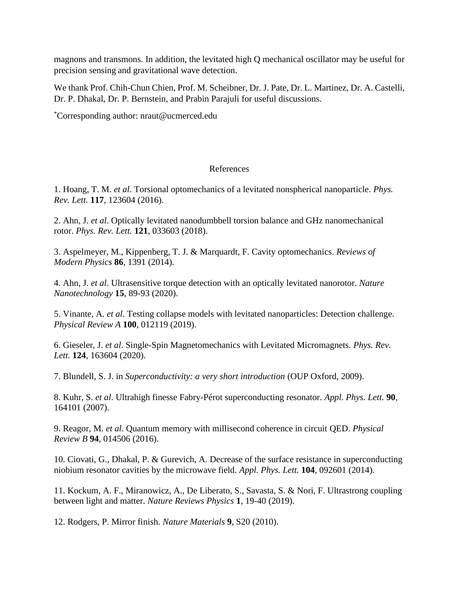magnons and transmons. In addition, the levitated high Q mechanical oscillator may be useful for precision sensing and gravitational wave detection.

We thank Prof. Chih-Chun Chien, Prof. M. Scheibner, Dr. J. Pate, Dr. L. Martinez, Dr. A. Castelli, Dr. P. Dhakal, Dr. P. Bernstein, and Prabin Parajuli for useful discussions.

\*Corresponding author: nraut@ucmerced.edu

## References

1. Hoang, T. M. *et al*. Torsional optomechanics of a levitated nonspherical nanoparticle. *Phys. Rev. Lett.* **117**, 123604 (2016).

2. Ahn, J. *et al*. Optically levitated nanodumbbell torsion balance and GHz nanomechanical rotor. *Phys. Rev. Lett.* **121**, 033603 (2018).

3. Aspelmeyer, M., Kippenberg, T. J. & Marquardt, F. Cavity optomechanics. *Reviews of Modern Physics* **86**, 1391 (2014).

4. Ahn, J. *et al*. Ultrasensitive torque detection with an optically levitated nanorotor. *Nature Nanotechnology* **15**, 89-93 (2020).

5. Vinante, A. *et al*. Testing collapse models with levitated nanoparticles: Detection challenge. *Physical Review A* **100**, 012119 (2019).

6. Gieseler, J. *et al*. Single-Spin Magnetomechanics with Levitated Micromagnets. *Phys. Rev. Lett.* **124**, 163604 (2020).

7. Blundell, S. J. in *Superconductivity: a very short introduction* (OUP Oxford, 2009).

8. Kuhr, S. *et al*. Ultrahigh finesse Fabry-Pérot superconducting resonator. *Appl. Phys. Lett.* **90**, 164101 (2007).

9. Reagor, M. *et al*. Quantum memory with millisecond coherence in circuit QED. *Physical Review B* **94**, 014506 (2016).

10. Ciovati, G., Dhakal, P. & Gurevich, A. Decrease of the surface resistance in superconducting niobium resonator cavities by the microwave field. *Appl. Phys. Lett.* **104**, 092601 (2014).

11. Kockum, A. F., Miranowicz, A., De Liberato, S., Savasta, S. & Nori, F. Ultrastrong coupling between light and matter. *Nature Reviews Physics* **1**, 19-40 (2019).

12. Rodgers, P. Mirror finish. *Nature Materials* **9**, S20 (2010).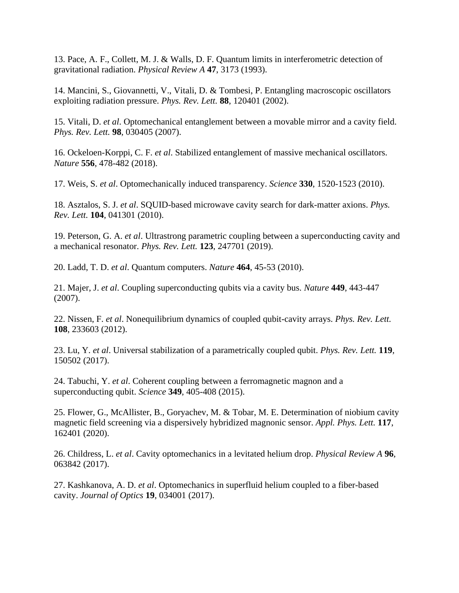13. Pace, A. F., Collett, M. J. & Walls, D. F. Quantum limits in interferometric detection of gravitational radiation. *Physical Review A* **47**, 3173 (1993).

14. Mancini, S., Giovannetti, V., Vitali, D. & Tombesi, P. Entangling macroscopic oscillators exploiting radiation pressure. *Phys. Rev. Lett.* **88**, 120401 (2002).

15. Vitali, D. *et al*. Optomechanical entanglement between a movable mirror and a cavity field. *Phys. Rev. Lett.* **98**, 030405 (2007).

16. Ockeloen-Korppi, C. F. *et al*. Stabilized entanglement of massive mechanical oscillators. *Nature* **556**, 478-482 (2018).

17. Weis, S. *et al*. Optomechanically induced transparency. *Science* **330**, 1520-1523 (2010).

18. Asztalos, S. J. *et al*. SQUID-based microwave cavity search for dark-matter axions. *Phys. Rev. Lett.* **104**, 041301 (2010).

19. Peterson, G. A. *et al*. Ultrastrong parametric coupling between a superconducting cavity and a mechanical resonator. *Phys. Rev. Lett.* **123**, 247701 (2019).

20. Ladd, T. D. *et al*. Quantum computers. *Nature* **464**, 45-53 (2010).

21. Majer, J. *et al*. Coupling superconducting qubits via a cavity bus. *Nature* **449**, 443-447 (2007).

22. Nissen, F. *et al*. Nonequilibrium dynamics of coupled qubit-cavity arrays. *Phys. Rev. Lett.* **108**, 233603 (2012).

23. Lu, Y. *et al*. Universal stabilization of a parametrically coupled qubit. *Phys. Rev. Lett.* **119**, 150502 (2017).

24. Tabuchi, Y. *et al*. Coherent coupling between a ferromagnetic magnon and a superconducting qubit. *Science* **349**, 405-408 (2015).

25. Flower, G., McAllister, B., Goryachev, M. & Tobar, M. E. Determination of niobium cavity magnetic field screening via a dispersively hybridized magnonic sensor. *Appl. Phys. Lett.* **117**, 162401 (2020).

26. Childress, L. *et al*. Cavity optomechanics in a levitated helium drop. *Physical Review A* **96**, 063842 (2017).

27. Kashkanova, A. D. *et al*. Optomechanics in superfluid helium coupled to a fiber-based cavity. *Journal of Optics* **19**, 034001 (2017).